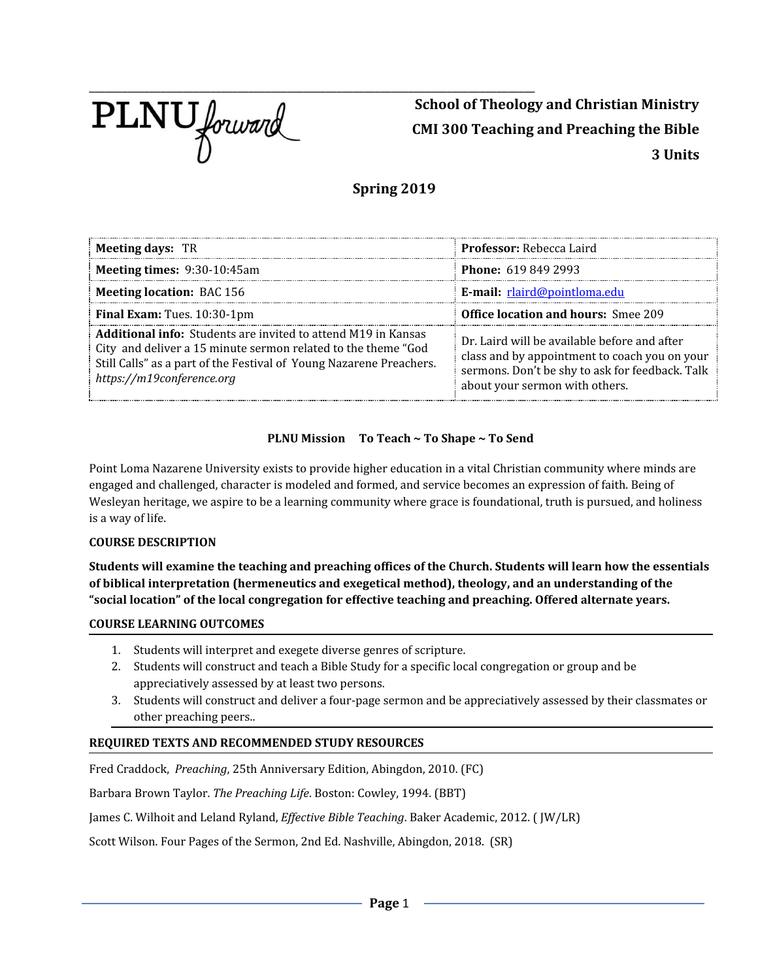

**School of Theology and Christian Ministry CMI 300 Teaching and Preaching the Bible 3 Units**

# **Spring 2019**

| <b>Meeting days: TR</b>                                                                                                                                                                                                                   | <b>Professor:</b> Rebecca Laird                                                                                                                                                    |
|-------------------------------------------------------------------------------------------------------------------------------------------------------------------------------------------------------------------------------------------|------------------------------------------------------------------------------------------------------------------------------------------------------------------------------------|
| Meeting times: 9:30-10:45am                                                                                                                                                                                                               | <b>Phone: 619 849 2993</b>                                                                                                                                                         |
| <b>Meeting location: BAC 156</b>                                                                                                                                                                                                          | E-mail: rlaird@pointloma.edu                                                                                                                                                       |
| Final Exam: Tues. 10:30-1pm                                                                                                                                                                                                               | <b>Office location and hours: Smee 209</b>                                                                                                                                         |
| <b>Additional info:</b> Students are invited to attend M19 in Kansas<br>City and deliver a 15 minute sermon related to the theme "God<br>Still Calls" as a part of the Festival of Young Nazarene Preachers.<br>https://m19conference.org | Dr. Laird will be available before and after<br>class and by appointment to coach you on your<br>sermons. Don't be shy to ask for feedback. Talk<br>about your sermon with others. |

# **PLNU Mission To Teach ~ To Shape ~ To Send**

Point Loma Nazarene University exists to provide higher education in a vital Christian community where minds are engaged and challenged, character is modeled and formed, and service becomes an expression of faith. Being of Wesleyan heritage, we aspire to be a learning community where grace is foundational, truth is pursued, and holiness is a way of life.

### **COURSE DESCRIPTION**

Students will examine the teaching and preaching offices of the Church. Students will learn how the essentials **of biblical interpretation (hermeneutics and exegetical method), theology, and an understanding of the "social location" of the local congregation for effective teaching and preaching. Offered alternate years.**

### **COURSE LEARNING OUTCOMES**

- 1. Students will interpret and exegete diverse genres of scripture.
- 2. Students will construct and teach a Bible Study for a specific local congregation or group and be appreciatively assessed by at least two persons.
- 3. Students will construct and deliver a four-page sermon and be appreciatively assessed by their classmates or other preaching peers..

### **REQUIRED TEXTS AND RECOMMENDED STUDY RESOURCES**

Fred Craddock, *Preaching*, 25th Anniversary Edition, Abingdon, 2010. (FC)

Barbara Brown Taylor. *The Preaching Life*. Boston: Cowley, 1994. (BBT)

James C. Wilhoit and Leland Ryland, *Effective Bible Teaching*. Baker Academic, 2012. (JW/LR)

Scott Wilson. Four Pages of the Sermon, 2nd Ed. Nashville, Abingdon, 2018. (SR)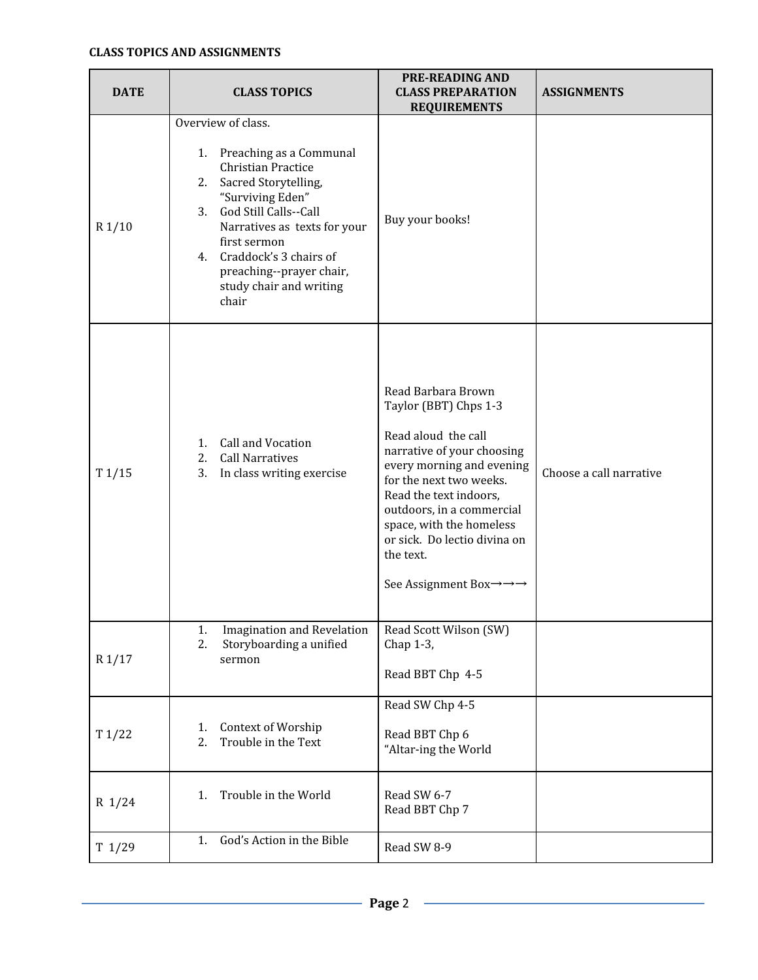| <b>DATE</b> | <b>CLASS TOPICS</b>                                                                                                                                                                                                                                                                                     | <b>PRE-READING AND</b><br><b>CLASS PREPARATION</b><br><b>REQUIREMENTS</b>                                                                                                                                                                                                                                                                            | <b>ASSIGNMENTS</b>      |
|-------------|---------------------------------------------------------------------------------------------------------------------------------------------------------------------------------------------------------------------------------------------------------------------------------------------------------|------------------------------------------------------------------------------------------------------------------------------------------------------------------------------------------------------------------------------------------------------------------------------------------------------------------------------------------------------|-------------------------|
| R1/10       | Overview of class.<br>1. Preaching as a Communal<br>Christian Practice<br>Sacred Storytelling,<br>2.<br>"Surviving Eden"<br>God Still Calls--Call<br>3.<br>Narratives as texts for your<br>first sermon<br>Craddock's 3 chairs of<br>4.<br>preaching--prayer chair,<br>study chair and writing<br>chair | Buy your books!                                                                                                                                                                                                                                                                                                                                      |                         |
| T1/15       | Call and Vocation<br>1.<br><b>Call Narratives</b><br>2.<br>3.<br>In class writing exercise                                                                                                                                                                                                              | Read Barbara Brown<br>Taylor (BBT) Chps 1-3<br>Read aloud the call<br>narrative of your choosing<br>every morning and evening<br>for the next two weeks.<br>Read the text indoors,<br>outdoors, in a commercial<br>space, with the homeless<br>or sick. Do lectio divina on<br>the text.<br>See Assignment Box $\rightarrow \rightarrow \rightarrow$ | Choose a call narrative |
| R1/17       | <b>Imagination and Revelation</b><br>1.<br>2.<br>Storyboarding a unified<br>sermon                                                                                                                                                                                                                      | Read Scott Wilson (SW)<br>Chap 1-3,<br>Read BBT Chp 4-5                                                                                                                                                                                                                                                                                              |                         |
| T1/22       | Context of Worship<br>1.<br>2.<br>Trouble in the Text                                                                                                                                                                                                                                                   | Read SW Chp 4-5<br>Read BBT Chp 6<br>"Altar-ing the World                                                                                                                                                                                                                                                                                            |                         |
| $R$ 1/24    | Trouble in the World<br>1.                                                                                                                                                                                                                                                                              | Read SW 6-7<br>Read BBT Chp 7                                                                                                                                                                                                                                                                                                                        |                         |
| T 1/29      | God's Action in the Bible<br>1.                                                                                                                                                                                                                                                                         | Read SW 8-9                                                                                                                                                                                                                                                                                                                                          |                         |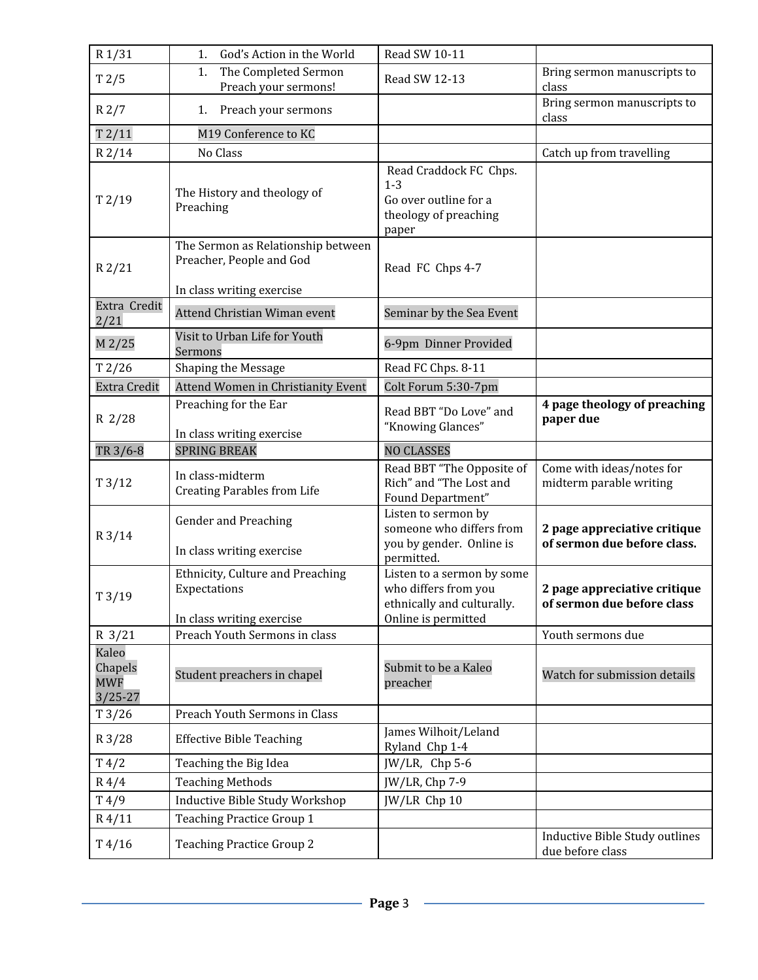| R1/31                                         | God's Action in the World<br>1.                                                             | Read SW 10-11                                                                                           |                                                             |
|-----------------------------------------------|---------------------------------------------------------------------------------------------|---------------------------------------------------------------------------------------------------------|-------------------------------------------------------------|
| T2/5                                          | The Completed Sermon<br>1.<br>Preach your sermons!                                          | Read SW 12-13                                                                                           | Bring sermon manuscripts to<br>class                        |
| R2/7                                          | Preach your sermons<br>1.                                                                   |                                                                                                         | Bring sermon manuscripts to<br>class                        |
| T2/11                                         | M19 Conference to KC                                                                        |                                                                                                         |                                                             |
| $R$ 2/14                                      | No Class                                                                                    |                                                                                                         | Catch up from travelling                                    |
| T2/19                                         | The History and theology of<br>Preaching                                                    | Read Craddock FC Chps.<br>$1 - 3$<br>Go over outline for a<br>theology of preaching<br>paper            |                                                             |
| R2/21                                         | The Sermon as Relationship between<br>Preacher, People and God<br>In class writing exercise | Read FC Chps 4-7                                                                                        |                                                             |
| Extra Credit<br>2/21                          | <b>Attend Christian Wiman event</b>                                                         | Seminar by the Sea Event                                                                                |                                                             |
| M 2/25                                        | Visit to Urban Life for Youth<br>Sermons                                                    | 6-9pm Dinner Provided                                                                                   |                                                             |
| T2/26                                         | Shaping the Message                                                                         | Read FC Chps. 8-11                                                                                      |                                                             |
| <b>Extra Credit</b>                           | <b>Attend Women in Christianity Event</b>                                                   | Colt Forum 5:30-7pm                                                                                     |                                                             |
| R 2/28                                        | Preaching for the Ear<br>In class writing exercise                                          | Read BBT "Do Love" and<br>"Knowing Glances"                                                             | 4 page theology of preaching<br>paper due                   |
| TR 3/6-8                                      | <b>SPRING BREAK</b>                                                                         | <b>NO CLASSES</b>                                                                                       |                                                             |
| T3/12                                         | In class-midterm<br><b>Creating Parables from Life</b>                                      | Read BBT "The Opposite of<br>Rich" and "The Lost and<br>Found Department"                               | Come with ideas/notes for<br>midterm parable writing        |
| R3/14                                         | Gender and Preaching<br>In class writing exercise                                           | Listen to sermon by<br>someone who differs from<br>you by gender. Online is<br>permitted.               | 2 page appreciative critique<br>of sermon due before class. |
| T3/19                                         | Ethnicity, Culture and Preaching<br>Expectations<br>In class writing exercise               | Listen to a sermon by some<br>who differs from you<br>ethnically and culturally.<br>Online is permitted | 2 page appreciative critique<br>of sermon due before class  |
| $R \frac{3}{21}$                              | Preach Youth Sermons in class                                                               |                                                                                                         | Youth sermons due                                           |
| Kaleo<br>Chapels<br><b>MWF</b><br>$3/25 - 27$ | Student preachers in chapel                                                                 | Submit to be a Kaleo<br>preacher                                                                        | Watch for submission details                                |
| T3/26                                         | Preach Youth Sermons in Class                                                               |                                                                                                         |                                                             |
| R 3/28                                        | <b>Effective Bible Teaching</b>                                                             | James Wilhoit/Leland<br>Ryland Chp 1-4                                                                  |                                                             |
| T4/2                                          | Teaching the Big Idea                                                                       | JW/LR, Chp 5-6                                                                                          |                                                             |
| $R\frac{4}{4}$                                | <b>Teaching Methods</b>                                                                     | JW/LR, Chp 7-9                                                                                          |                                                             |
| T4/9                                          | Inductive Bible Study Workshop                                                              | JW/LR Chp 10                                                                                            |                                                             |
| $R\,4/11$                                     | <b>Teaching Practice Group 1</b>                                                            |                                                                                                         |                                                             |
| T4/16                                         | <b>Teaching Practice Group 2</b>                                                            |                                                                                                         | Inductive Bible Study outlines<br>due before class          |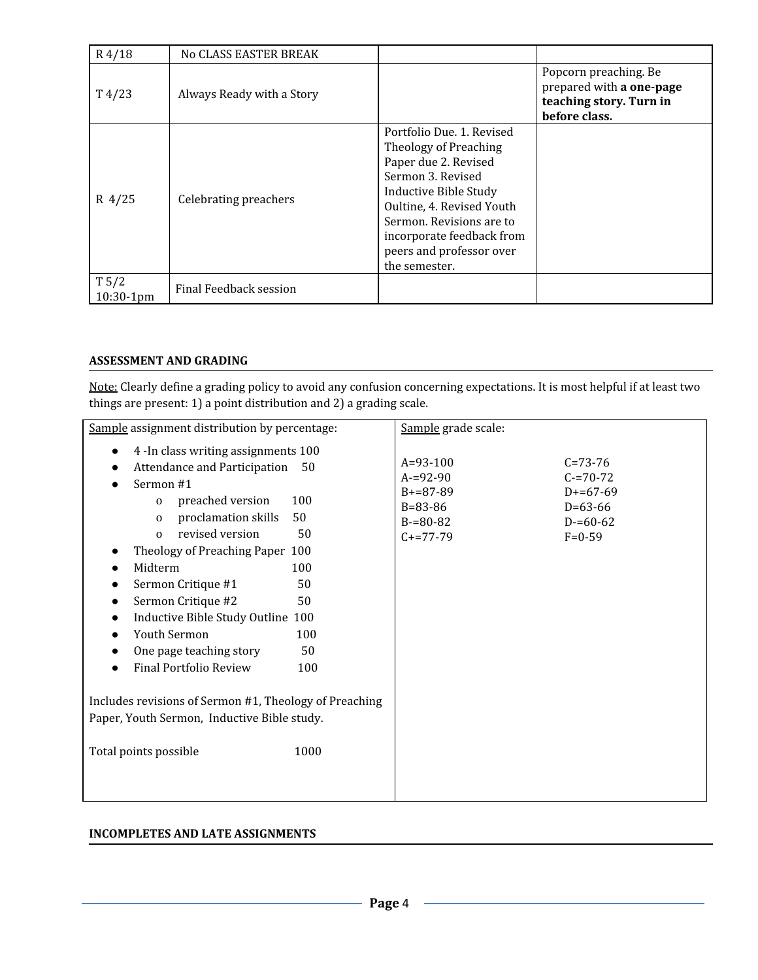| $R\,4/18$                | No CLASS EASTER BREAK     |                                                                                                                                                                                                                                                             |                                                                                               |
|--------------------------|---------------------------|-------------------------------------------------------------------------------------------------------------------------------------------------------------------------------------------------------------------------------------------------------------|-----------------------------------------------------------------------------------------------|
| $T\frac{4}{23}$          | Always Ready with a Story |                                                                                                                                                                                                                                                             | Popcorn preaching. Be<br>prepared with a one-page<br>teaching story. Turn in<br>before class. |
| $R$ 4/25                 | Celebrating preachers     | Portfolio Due, 1. Revised<br>Theology of Preaching<br>Paper due 2. Revised<br>Sermon 3. Revised<br>Inductive Bible Study<br>Oultine, 4. Revised Youth<br>Sermon, Revisions are to<br>incorporate feedback from<br>peers and professor over<br>the semester. |                                                                                               |
| $T\,5/2$<br>$10:30-1$ pm | Final Feedback session    |                                                                                                                                                                                                                                                             |                                                                                               |

### **ASSESSMENT AND GRADING**

Note: Clearly define a grading policy to avoid any confusion concerning expectations. It is most helpful if at least two things are present: 1) a point distribution and 2) a grading scale.

| Sample assignment distribution by percentage:                                                                                                                                                                                                                                                                                                                                                                                                                      | Sample grade scale:                                                                                                                                                                   |
|--------------------------------------------------------------------------------------------------------------------------------------------------------------------------------------------------------------------------------------------------------------------------------------------------------------------------------------------------------------------------------------------------------------------------------------------------------------------|---------------------------------------------------------------------------------------------------------------------------------------------------------------------------------------|
| 4 - In class writing assignments 100<br>Attendance and Participation<br>50<br>Sermon #1<br>preached version<br>100<br>$\mathbf{0}$<br>proclamation skills<br>50<br>$\Omega$<br>revised version<br>50<br>$\Omega$<br>Theology of Preaching Paper 100<br>100<br>Midterm<br>50<br>Sermon Critique #1<br>Sermon Critique #2<br>50<br>Inductive Bible Study Outline 100<br>Youth Sermon<br>100<br>One page teaching story<br>50<br><b>Final Portfolio Review</b><br>100 | $A=93-100$<br>$C = 73 - 76$<br>$A = 92 - 90$<br>$C = 70 - 72$<br>$B+=87-89$<br>$D+=67-69$<br>$B = 83 - 86$<br>$D=63-66$<br>$B = 80 - 82$<br>$D = 60 - 62$<br>$C+=77-79$<br>$F = 0-59$ |
| Includes revisions of Sermon #1, Theology of Preaching                                                                                                                                                                                                                                                                                                                                                                                                             |                                                                                                                                                                                       |
| Paper, Youth Sermon, Inductive Bible study.                                                                                                                                                                                                                                                                                                                                                                                                                        |                                                                                                                                                                                       |
| Total points possible<br>1000                                                                                                                                                                                                                                                                                                                                                                                                                                      |                                                                                                                                                                                       |
|                                                                                                                                                                                                                                                                                                                                                                                                                                                                    |                                                                                                                                                                                       |

### **INCOMPLETES AND LATE ASSIGNMENTS**